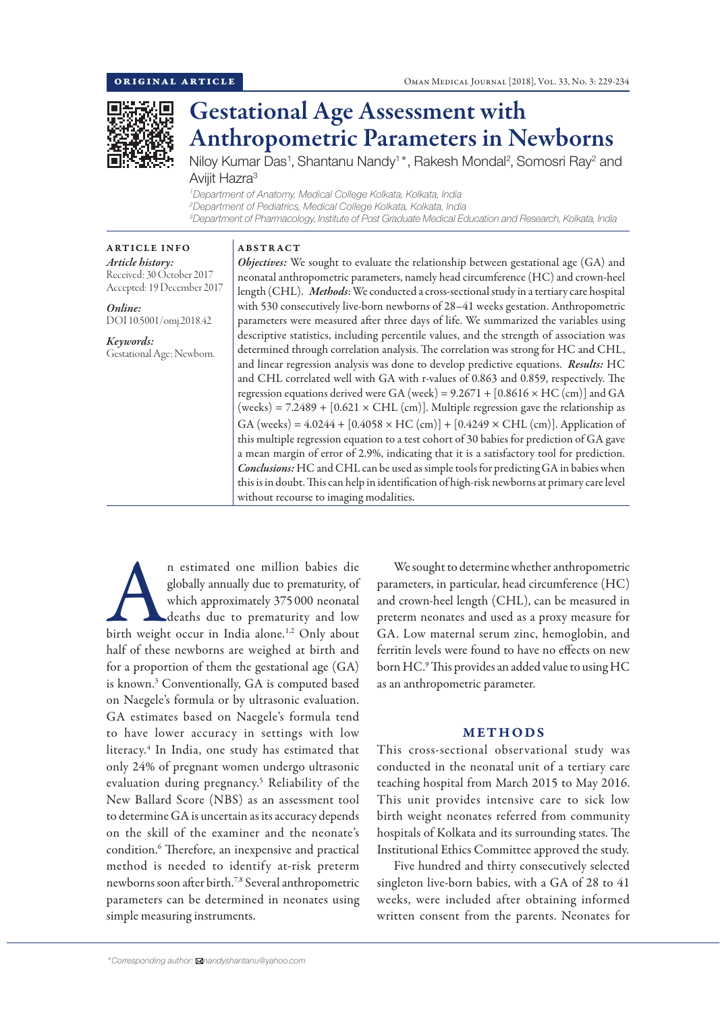

# Gestational Age Assessment with Anthropometric Parameters in Newborns

Niloy Kumar Das<sup>1</sup>, Shantanu Nandy<sup>1</sup>\*, Rakesh Mondal<sup>2</sup>, Somosri Ray<sup>2</sup> and Aviiit Hazra<sup>3</sup>

*1 Department of Anatomy, Medical College Kolkata, Kolkata, India 2 Department of Pediatrics, Medical College Kolkata, Kolkata, India 3 Department of Pharmacology, Institute of Post Graduate Medical Education and Research, Kolkata, India*

# ABSTRACT

*Article history:* Received: 30 October 2017 Accepted: 19 December 2017

ARTICLE INFO

*Online:* DOI 10.5001/omj.2018.42

*Keywords:*  Gestational Age; Newborn. *Objectives:* We sought to evaluate the relationship between gestational age (GA) and neonatal anthropometric parameters, namely head circumference (HC) and crown-heel length (CHL). *Methods*: We conducted a cross-sectional study in a tertiary care hospital with 530 consecutively live-born newborns of 28–41 weeks gestation. Anthropometric parameters were measured after three days of life. We summarized the variables using descriptive statistics, including percentile values, and the strength of association was determined through correlation analysis. The correlation was strong for HC and CHL, and linear regression analysis was done to develop predictive equations. *Results:* HC and CHL correlated well with GA with r-values of 0.863 and 0.859, respectively. The regression equations derived were GA (week) =  $9.2671 + [0.8616 \times HC$  (cm)] and GA (weeks) = 7.2489 +  $[0.621 \times CHL (cm)]$ . Multiple regression gave the relationship as GA (weeks) =  $4.0244 + [0.4058 \times HC$  (cm)] +  $[0.4249 \times CHL$  (cm)]. Application of this multiple regression equation to a test cohort of 30 babies for prediction of GA gave a mean margin of error of 2.9%, indicating that it is a satisfactory tool for prediction. *Conclusions:* HC and CHL can be used as simple tools for predicting GA in babies when this is in doubt. This can help in identification of high-risk newborns at primary care level without recourse to imaging modalities.

n estimated one million babies die<br>
globally annually due to prematurity, of<br>
which approximately 375 000 neonatal<br>
deaths due to prematurity and low<br>
birth weight occur in India alone.<sup>1,2</sup> Only about globally annually due to prematurity, of which approximately 375 000 neonatal deaths due to prematurity and low half of these newborns are weighed at birth and for a proportion of them the gestational age (GA) is known.3 Conventionally, GA is computed based on Naegele's formula or by ultrasonic evaluation. GA estimates based on Naegele's formula tend to have lower accuracy in settings with low literacy.4 In India, one study has estimated that only 24% of pregnant women undergo ultrasonic evaluation during pregnancy.5 Reliability of the New Ballard Score (NBS) as an assessment tool to determine GA is uncertain as its accuracy depends on the skill of the examiner and the neonate's condition.6 Therefore, an inexpensive and practical method is needed to identify at-risk preterm newborns soon after birth.7,8 Several anthropometric parameters can be determined in neonates using simple measuring instruments.

We sought to determine whether anthropometric parameters, in particular, head circumference (HC) and crown-heel length (CHL), can be measured in preterm neonates and used as a proxy measure for GA. Low maternal serum zinc, hemoglobin, and ferritin levels were found to have no effects on new born HC.9 This provides an added value to using HC as an anthropometric parameter.

### METHODS

This cross-sectional observational study was conducted in the neonatal unit of a tertiary care teaching hospital from March 2015 to May 2016. This unit provides intensive care to sick low birth weight neonates referred from community hospitals of Kolkata and its surrounding states. The Institutional Ethics Committee approved the study.

Five hundred and thirty consecutively selected singleton live-born babies, with a GA of 28 to 41 weeks, were included after obtaining informed written consent from the parents. Neonates for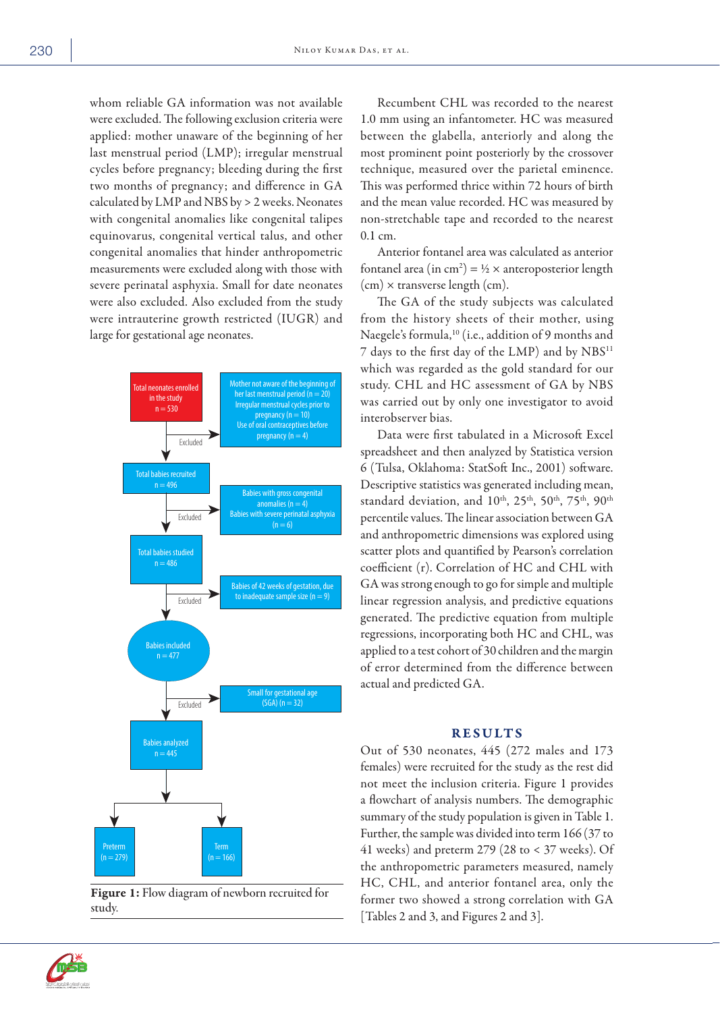whom reliable GA information was not available were excluded. The following exclusion criteria were applied: mother unaware of the beginning of her last menstrual period (LMP); irregular menstrual cycles before pregnancy; bleeding during the first two months of pregnancy; and difference in GA calculated by LMP and NBS by > 2 weeks. Neonates with congenital anomalies like congenital talipes equinovarus, congenital vertical talus, and other congenital anomalies that hinder anthropometric measurements were excluded along with those with severe perinatal asphyxia. Small for date neonates were also excluded. Also excluded from the study were intrauterine growth restricted (IUGR) and large for gestational age neonates.



Figure 1: Flow diagram of newborn recruited for study.

Recumbent CHL was recorded to the nearest 1.0 mm using an infantometer. HC was measured between the glabella, anteriorly and along the most prominent point posteriorly by the crossover technique, measured over the parietal eminence. This was performed thrice within 72 hours of birth and the mean value recorded. HC was measured by non-stretchable tape and recorded to the nearest 0.1 cm.

Anterior fontanel area was calculated as anterior fontanel area (in cm<sup>2</sup>) = ½ × anteroposterior length (cm) × transverse length (cm).

The GA of the study subjects was calculated from the history sheets of their mother, using Naegele's formula,<sup>10</sup> (i.e., addition of 9 months and 7 days to the first day of the LMP) and by NBS11 which was regarded as the gold standard for our study. CHL and HC assessment of GA by NBS was carried out by only one investigator to avoid interobserver bias.

Data were first tabulated in a Microsoft Excel spreadsheet and then analyzed by Statistica version 6 (Tulsa, Oklahoma: StatSoft Inc., 2001) software. Descriptive statistics was generated including mean, standard deviation, and 10<sup>th</sup>, 25<sup>th</sup>, 50<sup>th</sup>, 75<sup>th</sup>, 90<sup>th</sup> percentile values. The linear association between GA and anthropometric dimensions was explored using scatter plots and quantified by Pearson's correlation coefficient (r). Correlation of HC and CHL with GA was strong enough to go for simple and multiple linear regression analysis, and predictive equations generated. The predictive equation from multiple regressions, incorporating both HC and CHL, was applied to a test cohort of 30 children and the margin of error determined from the difference between actual and predicted GA.

### RESULTS

Out of 530 neonates, 445 (272 males and 173 females) were recruited for the study as the rest did not meet the inclusion criteria. Figure 1 provides a flowchart of analysis numbers. The demographic summary of the study population is given in Table 1. Further, the sample was divided into term 166 (37 to 41 weeks) and preterm 279 (28 to  $<$  37 weeks). Of the anthropometric parameters measured, namely HC, CHL, and anterior fontanel area, only the former two showed a strong correlation with GA [Tables 2 and 3, and Figures 2 and 3].

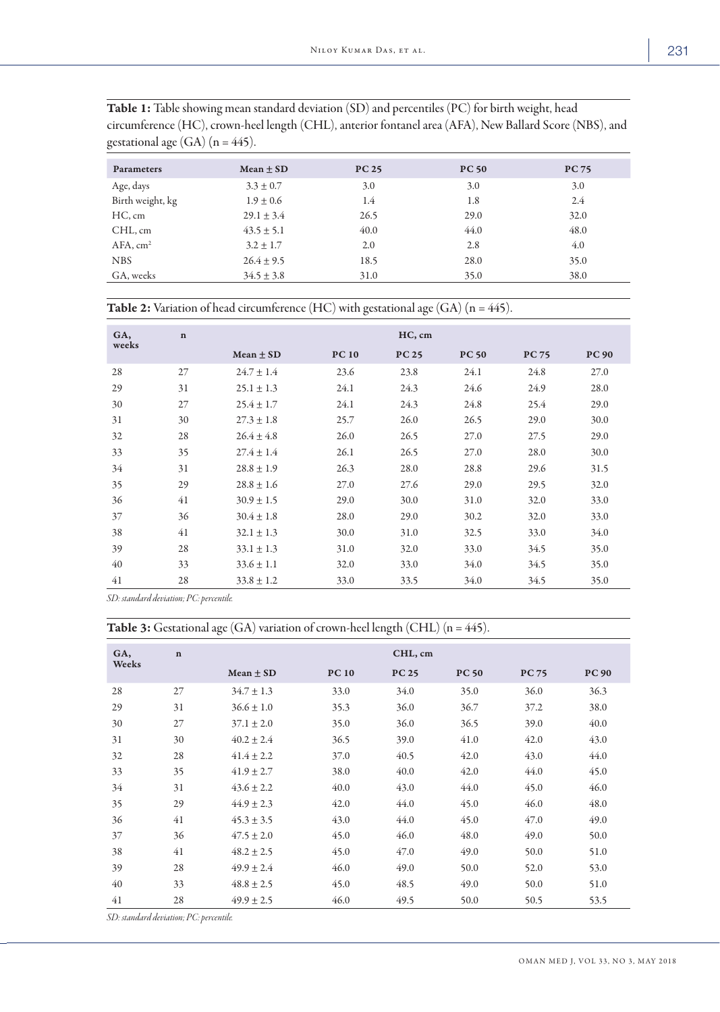| <b>Parameters</b>    | Mean $\pm$ SD  | <b>PC 25</b> | <b>PC 50</b> | <b>PC 75</b> |
|----------------------|----------------|--------------|--------------|--------------|
| Age, days            | $3.3 \pm 0.7$  | 3.0          | 3.0          | 3.0          |
| Birth weight, kg     | $1.9 \pm 0.6$  | 1.4          | 1.8          | 2.4          |
| HC, cm               | $29.1 \pm 3.4$ | 26.5         | 29.0         | 32.0         |
| CHL, cm              | $43.5 \pm 5.1$ | 40.0         | 44.0         | 48.0         |
| AFA, cm <sup>2</sup> | $3.2 \pm 1.7$  | 2.0          | 2.8          | 4.0          |
| <b>NBS</b>           | $26.4 \pm 9.5$ | 18.5         | 28.0         | 35.0         |
| GA, weeks            | $34.5 \pm 3.8$ | 31.0         | 35.0         | 38.0         |
|                      |                |              |              |              |

Table 1: Table showing mean standard deviation (SD) and percentiles (PC) for birth weight, head circumference (HC), crown-heel length (CHL), anterior fontanel area (AFA), New Ballard Score (NBS), and gestational age  $(GA)$   $(n = 445)$ .

|  | <b>Table 2:</b> Variation of head circumference (HC) with gestational age (GA) ( $n = 445$ ). |
|--|-----------------------------------------------------------------------------------------------|
|--|-----------------------------------------------------------------------------------------------|

| GA,<br>weeks | $\mathbf n$ | HC, cm         |              |              |              |              |              |
|--------------|-------------|----------------|--------------|--------------|--------------|--------------|--------------|
|              |             | Mean $\pm$ SD  | <b>PC 10</b> | <b>PC 25</b> | <b>PC 50</b> | <b>PC 75</b> | <b>PC 90</b> |
| 28           | 27          | $24.7 \pm 1.4$ | 23.6         | 23.8         | 24.1         | 24.8         | 27.0         |
| 29           | 31          | $25.1 \pm 1.3$ | 24.1         | 24.3         | 24.6         | 24.9         | 28.0         |
| 30           | 27          | $25.4 \pm 1.7$ | 24.1         | 24.3         | 24.8         | 25.4         | 29.0         |
| 31           | 30          | $27.3 \pm 1.8$ | 25.7         | 26.0         | 26.5         | 29.0         | 30.0         |
| 32           | 28          | $26.4 \pm 4.8$ | 26.0         | 26.5         | 27.0         | 27.5         | 29.0         |
| 33           | 35          | $27.4 \pm 1.4$ | 26.1         | 26.5         | 27.0         | 28.0         | 30.0         |
| 34           | 31          | $28.8 \pm 1.9$ | 26.3         | 28.0         | 28.8         | 29.6         | 31.5         |
| 35           | 29          | $28.8 \pm 1.6$ | 27.0         | 27.6         | 29.0         | 29.5         | 32.0         |
| 36           | 41          | $30.9 \pm 1.5$ | 29.0         | 30.0         | 31.0         | 32.0         | 33.0         |
| 37           | 36          | $30.4 \pm 1.8$ | 28.0         | 29.0         | 30.2         | 32.0         | 33.0         |
| 38           | 41          | $32.1 \pm 1.3$ | 30.0         | 31.0         | 32.5         | 33.0         | 34.0         |
| 39           | 28          | $33.1 \pm 1.3$ | 31.0         | 32.0         | 33.0         | 34.5         | 35.0         |
| 40           | 33          | $33.6 \pm 1.1$ | 32.0         | 33.0         | 34.0         | 34.5         | 35.0         |
| 41           | 28          | $33.8 \pm 1.2$ | 33.0         | 33.5         | 34.0         | 34.5         | 35.0         |

*SD: standard deviation; PC: percentile.*

Table 3: Gestational age (GA) variation of crown-heel length (CHL) (n = 445).

| GA,   | $\mathbf n$ |                | CHL, cm      |              |              |              |              |  |
|-------|-------------|----------------|--------------|--------------|--------------|--------------|--------------|--|
| Weeks |             | Mean $\pm$ SD  | <b>PC 10</b> | <b>PC 25</b> | <b>PC 50</b> | <b>PC 75</b> | <b>PC 90</b> |  |
| 28    | 27          | $34.7 \pm 1.3$ | 33.0         | 34.0         | 35.0         | 36.0         | 36.3         |  |
| 29    | 31          | $36.6 \pm 1.0$ | 35.3         | 36.0         | 36.7         | 37.2         | 38.0         |  |
| 30    | 27          | $37.1 \pm 2.0$ | 35.0         | 36.0         | 36.5         | 39.0         | 40.0         |  |
| 31    | 30          | $40.2 \pm 2.4$ | 36.5         | 39.0         | 41.0         | 42.0         | 43.0         |  |
| 32    | 28          | $41.4 \pm 2.2$ | 37.0         | 40.5         | 42.0         | 43.0         | 44.0         |  |
| 33    | 35          | $41.9 \pm 2.7$ | 38.0         | 40.0         | 42.0         | 44.0         | 45.0         |  |
| 34    | 31          | $43.6 \pm 2.2$ | 40.0         | 43.0         | 44.0         | 45.0         | 46.0         |  |
| 35    | 29          | $44.9 \pm 2.3$ | 42.0         | 44.0         | 45.0         | 46.0         | 48.0         |  |
| 36    | 41          | $45.3 \pm 3.5$ | 43.0         | 44.0         | 45.0         | 47.0         | 49.0         |  |
| 37    | 36          | $47.5 \pm 2.0$ | 45.0         | 46.0         | 48.0         | 49.0         | 50.0         |  |
| 38    | 41          | $48.2 \pm 2.5$ | 45.0         | 47.0         | 49.0         | 50.0         | 51.0         |  |
| 39    | 28          | $49.9 \pm 2.4$ | 46.0         | 49.0         | 50.0         | 52.0         | 53.0         |  |
| 40    | 33          | $48.8 \pm 2.5$ | 45.0         | 48.5         | 49.0         | 50.0         | 51.0         |  |
| 41    | 28          | $49.9 \pm 2.5$ | 46.0         | 49.5         | 50.0         | 50.5         | 53.5         |  |

*SD: standard deviation; PC: percentile.*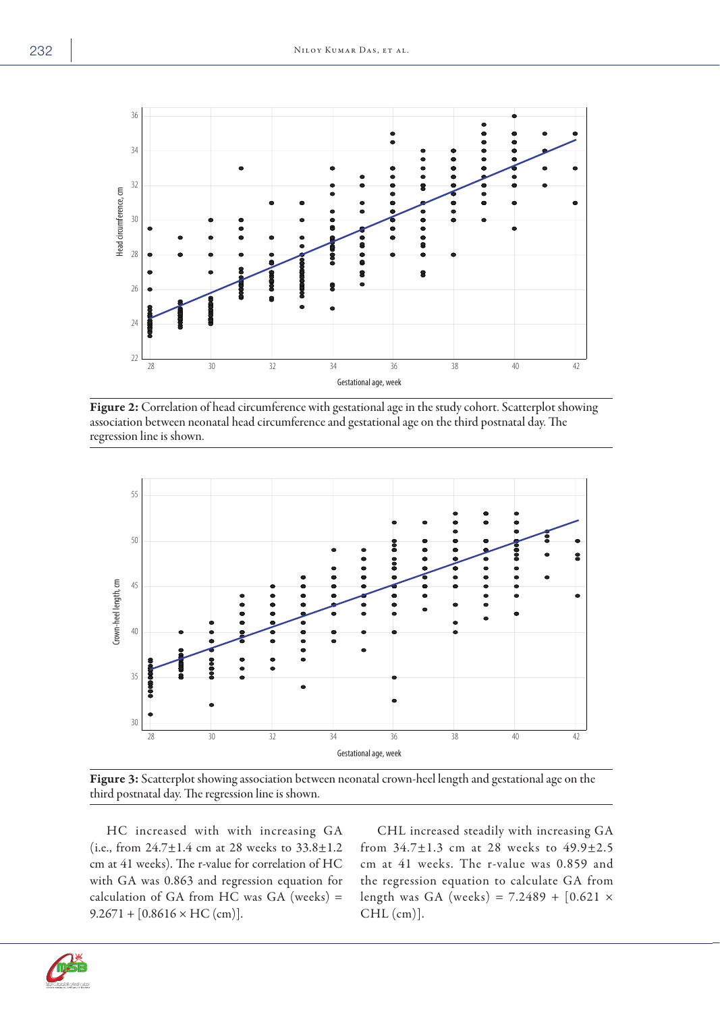

Figure 2: Correlation of head circumference with gestational age in the study cohort. Scatterplot showing association between neonatal head circumference and gestational age on the third postnatal day. The regression line is shown.



Figure 3: Scatterplot showing association between neonatal crown-heel length and gestational age on the third postnatal day. The regression line is shown.

HC increased with with increasing GA (i.e., from  $24.7 \pm 1.4$  cm at 28 weeks to  $33.8 \pm 1.2$ cm at 41 weeks). The r-value for correlation of HC with GA was 0.863 and regression equation for calculation of GA from HC was GA (weeks)  $=$  $9.2671 + [0.8616 \times \text{HC (cm)}].$ 

CHL increased steadily with increasing GA from 34.7±1.3 cm at 28 weeks to 49.9±2.5 cm at 41 weeks. The r-value was 0.859 and the regression equation to calculate GA from length was GA (weeks) =  $7.2489 + [0.621 \times$ CHL (cm)].

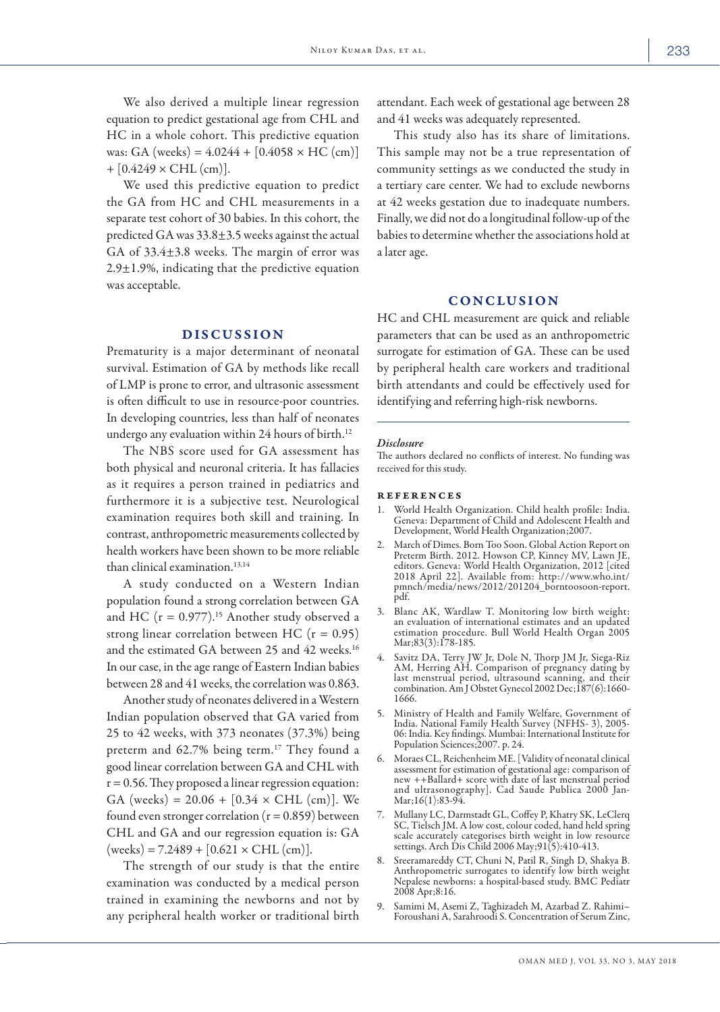We also derived a multiple linear regression equation to predict gestational age from CHL and HC in a whole cohort. This predictive equation was: GA (weeks) =  $4.0244 + [0.4058 \times \text{HC (cm)}]$  $+[0.4249 \times CHL (cm)].$ 

We used this predictive equation to predict the GA from HC and CHL measurements in a separate test cohort of 30 babies. In this cohort, the predicted GA was 33.8±3.5 weeks against the actual GA of 33.4±3.8 weeks. The margin of error was  $2.9 \pm 1.9$ %, indicating that the predictive equation was acceptable.

# DISCUSSION

Prematurity is a major determinant of neonatal survival. Estimation of GA by methods like recall of LMP is prone to error, and ultrasonic assessment is often difficult to use in resource-poor countries. In developing countries, less than half of neonates undergo any evaluation within 24 hours of birth.<sup>12</sup>

The NBS score used for GA assessment has both physical and neuronal criteria. It has fallacies as it requires a person trained in pediatrics and furthermore it is a subjective test. Neurological examination requires both skill and training. In contrast, anthropometric measurements collected by health workers have been shown to be more reliable than clinical examination.13,14

A study conducted on a Western Indian population found a strong correlation between GA and HC ( $r = 0.977$ ).<sup>15</sup> Another study observed a strong linear correlation between HC  $(r = 0.95)$ and the estimated GA between 25 and 42 weeks.<sup>16</sup> In our case, in the age range of Eastern Indian babies between 28 and 41 weeks, the correlation was 0.863.

Another study of neonates delivered in a Western Indian population observed that GA varied from 25 to 42 weeks, with 373 neonates (37.3%) being preterm and  $62.7\%$  being term.<sup>17</sup> They found a good linear correlation between GA and CHL with  $r = 0.56$ . They proposed a linear regression equation: GA (weeks) =  $20.06 + [0.34 \times \text{CHL (cm)}]$ . We found even stronger correlation ( $r = 0.859$ ) between CHL and GA and our regression equation is: GA  $( weeks) = 7.2489 + [0.621 \times CHL (cm)].$ 

The strength of our study is that the entire examination was conducted by a medical person trained in examining the newborns and not by any peripheral health worker or traditional birth attendant. Each week of gestational age between 28 and 41 weeks was adequately represented.

This study also has its share of limitations. This sample may not be a true representation of community settings as we conducted the study in a tertiary care center. We had to exclude newborns at 42 weeks gestation due to inadequate numbers. Finally, we did not do a longitudinal follow-up of the babies to determine whether the associations hold at a later age.

## **CONCLUSION**

HC and CHL measurement are quick and reliable parameters that can be used as an anthropometric surrogate for estimation of GA. These can be used by peripheral health care workers and traditional birth attendants and could be effectively used for identifying and referring high-risk newborns.

#### *Disclosure*

The authors declared no conflicts of interest. No funding was received for this study.

#### references

- World Health Organization. Child health profile: India. Geneva: Department of Child and Adolescent Health and Development, World Health Organization;2007.
- March of Dimes. Born Too Soon. Global Action Report on Preterm Birth. 2012. Howson CP, Kinney MV, Lawn JE, editors. Geneva: World Health Organization, 2012 [cited 2018 April 22]. Available from: http://www.who.int/ pmnch/media/news/2012/201204\_borntoosoon-report. pdf.
- 3. Blanc AK, Wardlaw T. Monitoring low birth weight: an evaluation of international estimates and an updated estimation procedure. Bull World Health Organ 2005 Mar;83(3):178-185.
- 4. Savitz DA, Terry JW Jr, Dole N, Thorp JM Jr, Siega-Riz AM, Herring AH. Comparison of pregnancy dating by last menstrual period, ultrasound scanning, and their combination. Am J Obstet Gynecol 2002 Dec;187(6):1660- 1666.
- 5. Ministry of Health and Family Welfare, Government of India. National Family Health Survey (NFHS- 3), 2005- 06: India. Key findings. Mumbai: International Institute for Population Sciences;2007. p. 24.
- 6. Moraes CL, Reichenheim ME. [Validity of neonatal clinical assessment for estimation of gestational age: comparison of new ++Ballard+ score with date of last menstrual period and ultrasonography]. Cad Saude Publica 2000 Jan-Mar;16(1):83-94.
- 7. Mullany LC, Darmstadt GL, Coffey P, Khatry SK, LeClerq SC, Tielsch JM. A low cost, colour coded, hand held spring scale accurately categorises birth weight in low resource settings. Arch Dis Child 2006 May;91(5):410-413.
- 8. Sreeramareddy CT, Chuni N, Patil R, Singh D, Shakya B. Anthropometric surrogates to identify low birth weight Nepalese newborns: a hospital-based study. BMC Pediatr 2008 Apr;8:16.
- 9. Samimi M, Asemi Z, Taghizadeh M, Azarbad Z. Rahimi– Foroushani A, Sarahroodi S. Concentration of Serum Zinc,